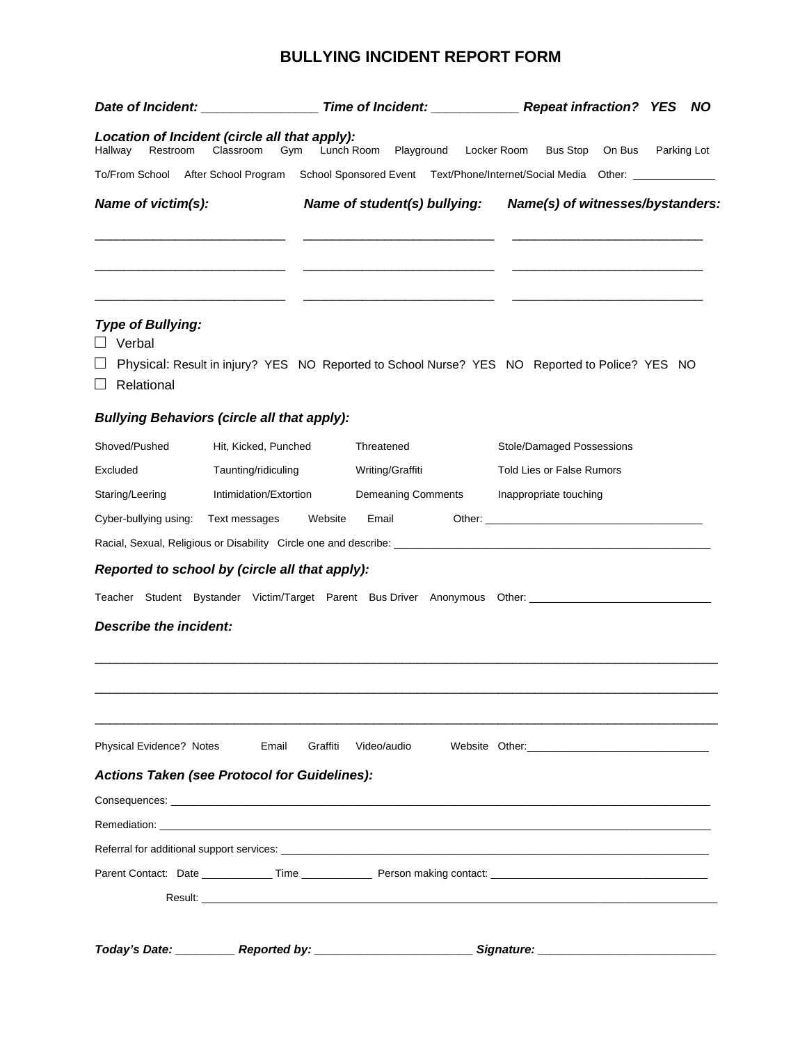## **BULLYING INCIDENT REPORT FORM**

|                                                                                                                                                                                                                               |                                                                                                |          |                       |                                                                                 | <b>NO</b>   |                           |                                  |             |  |  |
|-------------------------------------------------------------------------------------------------------------------------------------------------------------------------------------------------------------------------------|------------------------------------------------------------------------------------------------|----------|-----------------------|---------------------------------------------------------------------------------|-------------|---------------------------|----------------------------------|-------------|--|--|
| Location of Incident (circle all that apply):<br>Restroom<br>Hallway                                                                                                                                                          | Classroom<br>Gym                                                                               |          | Lunch Room Playground |                                                                                 | Locker Room |                           | Bus Stop On Bus                  | Parking Lot |  |  |
| To/From School After School Program                                                                                                                                                                                           |                                                                                                |          |                       | School Sponsored Event Text/Phone/Internet/Social Media Other: ________________ |             |                           |                                  |             |  |  |
| Name of victim(s):                                                                                                                                                                                                            |                                                                                                |          |                       | Name of student(s) bullying: Name(s) of witnesses/bystanders:                   |             |                           |                                  |             |  |  |
| <b>Type of Bullying:</b><br>Verbal<br>Relational                                                                                                                                                                              | Physical: Result in injury? YES NO Reported to School Nurse? YES NO Reported to Police? YES NO |          |                       |                                                                                 |             |                           |                                  |             |  |  |
| <b>Bullying Behaviors (circle all that apply):</b>                                                                                                                                                                            |                                                                                                |          |                       |                                                                                 |             |                           |                                  |             |  |  |
| Shoved/Pushed                                                                                                                                                                                                                 | Hit, Kicked, Punched                                                                           |          | Threatened            |                                                                                 |             | Stole/Damaged Possessions |                                  |             |  |  |
| Excluded                                                                                                                                                                                                                      | Taunting/ridiculing                                                                            |          |                       | Writing/Graffiti                                                                |             |                           | <b>Told Lies or False Rumors</b> |             |  |  |
| Staring/Leering                                                                                                                                                                                                               | Intimidation/Extortion<br><b>Demeaning Comments</b><br>Inappropriate touching                  |          |                       |                                                                                 |             |                           |                                  |             |  |  |
| Cyber-bullying using:                                                                                                                                                                                                         | Text messages                                                                                  | Website  | Email                 |                                                                                 |             |                           |                                  |             |  |  |
|                                                                                                                                                                                                                               |                                                                                                |          |                       |                                                                                 |             |                           |                                  |             |  |  |
| Reported to school by (circle all that apply):                                                                                                                                                                                |                                                                                                |          |                       |                                                                                 |             |                           |                                  |             |  |  |
| Teacher Student Bystander Victim/Target Parent Bus Driver Anonymous Other: ___________________________________                                                                                                                |                                                                                                |          |                       |                                                                                 |             |                           |                                  |             |  |  |
| Describe the incident:                                                                                                                                                                                                        |                                                                                                |          |                       |                                                                                 |             |                           |                                  |             |  |  |
| <b>Physical Evidence? Notes</b>                                                                                                                                                                                               | Email                                                                                          | Graffiti | Video/audio           |                                                                                 |             |                           |                                  |             |  |  |
| <b>Actions Taken (see Protocol for Guidelines):</b>                                                                                                                                                                           |                                                                                                |          |                       |                                                                                 |             |                           |                                  |             |  |  |
| Consequences: the contract of the contract of the contract of the contract of the contract of the contract of the contract of the contract of the contract of the contract of the contract of the contract of the contract of |                                                                                                |          |                       |                                                                                 |             |                           |                                  |             |  |  |
|                                                                                                                                                                                                                               |                                                                                                |          |                       |                                                                                 |             |                           |                                  |             |  |  |
|                                                                                                                                                                                                                               |                                                                                                |          |                       |                                                                                 |             |                           |                                  |             |  |  |
|                                                                                                                                                                                                                               |                                                                                                |          |                       |                                                                                 |             |                           |                                  |             |  |  |
|                                                                                                                                                                                                                               |                                                                                                |          |                       |                                                                                 |             |                           |                                  |             |  |  |
| Today's Date: ___________ Reported by: _____________________________Signature: _______________________________                                                                                                                |                                                                                                |          |                       |                                                                                 |             |                           |                                  |             |  |  |